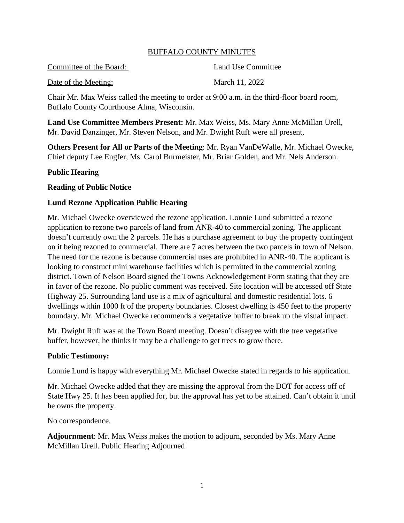#### BUFFALO COUNTY MINUTES

Committee of the Board: Land Use Committee Date of the Meeting: March 11, 2022

Chair Mr. Max Weiss called the meeting to order at 9:00 a.m. in the third-floor board room, Buffalo County Courthouse Alma, Wisconsin.

**Land Use Committee Members Present:** Mr. Max Weiss, Ms. Mary Anne McMillan Urell, Mr. David Danzinger, Mr. Steven Nelson, and Mr. Dwight Ruff were all present,

**Others Present for All or Parts of the Meeting**: Mr. Ryan VanDeWalle, Mr. Michael Owecke, Chief deputy Lee Engfer, Ms. Carol Burmeister, Mr. Briar Golden, and Mr. Nels Anderson.

#### **Public Hearing**

#### **Reading of Public Notice**

### **Lund Rezone Application Public Hearing**

Mr. Michael Owecke overviewed the rezone application. Lonnie Lund submitted a rezone application to rezone two parcels of land from ANR-40 to commercial zoning. The applicant doesn't currently own the 2 parcels. He has a purchase agreement to buy the property contingent on it being rezoned to commercial. There are 7 acres between the two parcels in town of Nelson. The need for the rezone is because commercial uses are prohibited in ANR-40. The applicant is looking to construct mini warehouse facilities which is permitted in the commercial zoning district. Town of Nelson Board signed the Towns Acknowledgement Form stating that they are in favor of the rezone. No public comment was received. Site location will be accessed off State Highway 25. Surrounding land use is a mix of agricultural and domestic residential lots. 6 dwellings within 1000 ft of the property boundaries. Closest dwelling is 450 feet to the property boundary. Mr. Michael Owecke recommends a vegetative buffer to break up the visual impact.

Mr. Dwight Ruff was at the Town Board meeting. Doesn't disagree with the tree vegetative buffer, however, he thinks it may be a challenge to get trees to grow there.

#### **Public Testimony:**

Lonnie Lund is happy with everything Mr. Michael Owecke stated in regards to his application.

Mr. Michael Owecke added that they are missing the approval from the DOT for access off of State Hwy 25. It has been applied for, but the approval has yet to be attained. Can't obtain it until he owns the property.

No correspondence.

**Adjournment**: Mr. Max Weiss makes the motion to adjourn, seconded by Ms. Mary Anne McMillan Urell. Public Hearing Adjourned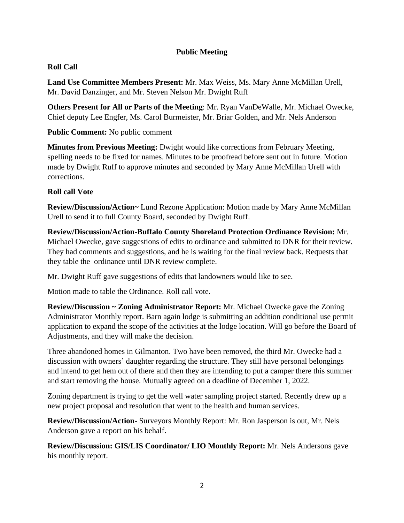# **Public Meeting**

# **Roll Call**

**Land Use Committee Members Present:** Mr. Max Weiss, Ms. Mary Anne McMillan Urell, Mr. David Danzinger, and Mr. Steven Nelson Mr. Dwight Ruff

**Others Present for All or Parts of the Meeting**: Mr. Ryan VanDeWalle, Mr. Michael Owecke, Chief deputy Lee Engfer, Ms. Carol Burmeister, Mr. Briar Golden, and Mr. Nels Anderson

**Public Comment:** No public comment

**Minutes from Previous Meeting:** Dwight would like corrections from February Meeting, spelling needs to be fixed for names. Minutes to be proofread before sent out in future. Motion made by Dwight Ruff to approve minutes and seconded by Mary Anne McMillan Urell with corrections.

# **Roll call Vote**

**Review/Discussion/Action~** Lund Rezone Application: Motion made by Mary Anne McMillan Urell to send it to full County Board, seconded by Dwight Ruff.

**Review/Discussion/Action-Buffalo County Shoreland Protection Ordinance Revision:** Mr. Michael Owecke, gave suggestions of edits to ordinance and submitted to DNR for their review. They had comments and suggestions, and he is waiting for the final review back. Requests that they table the ordinance until DNR review complete.

Mr. Dwight Ruff gave suggestions of edits that landowners would like to see.

Motion made to table the Ordinance. Roll call vote.

**Review/Discussion ~ Zoning Administrator Report:** Mr. Michael Owecke gave the Zoning Administrator Monthly report. Barn again lodge is submitting an addition conditional use permit application to expand the scope of the activities at the lodge location. Will go before the Board of Adjustments, and they will make the decision.

Three abandoned homes in Gilmanton. Two have been removed, the third Mr. Owecke had a discussion with owners' daughter regarding the structure. They still have personal belongings and intend to get hem out of there and then they are intending to put a camper there this summer and start removing the house. Mutually agreed on a deadline of December 1, 2022.

Zoning department is trying to get the well water sampling project started. Recently drew up a new project proposal and resolution that went to the health and human services.

**Review/Discussion/Action-** Surveyors Monthly Report: Mr. Ron Jasperson is out, Mr. Nels Anderson gave a report on his behalf.

**Review/Discussion: GIS/LIS Coordinator/ LIO Monthly Report:** Mr. Nels Andersons gave his monthly report.